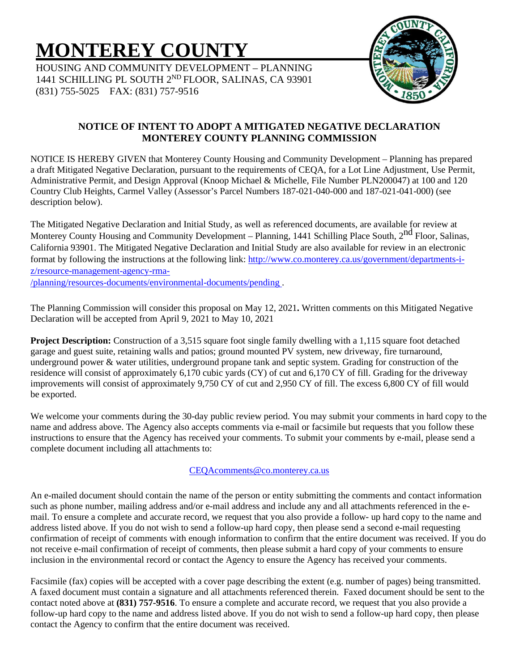# **MONTEREY COUNTY**

HOUSING AND COMMUNITY DEVELOPMENT – PLANNING 1441 SCHILLING PL SOUTH 2ND FLOOR, SALINAS, CA 93901 (831) 755-5025 FAX: (831) 757-9516



## **NOTICE OF INTENT TO ADOPT A MITIGATED NEGATIVE DECLARATION MONTEREY COUNTY PLANNING COMMISSION**

NOTICE IS HEREBY GIVEN that Monterey County Housing and Community Development – Planning has prepared a draft Mitigated Negative Declaration, pursuant to the requirements of CEQA, for a Lot Line Adjustment, Use Permit, Administrative Permit, and Design Approval (Knoop Michael & Michelle, File Number PLN200047) at 100 and 120 Country Club Heights, Carmel Valley (Assessor's Parcel Numbers 187-021-040-000 and 187-021-041-000) (see description below).

The Mitigated Negative Declaration and Initial Study, as well as referenced documents, are available for review at Monterey County Housing and Community Development – Planning, 1441 Schilling Place South, 2<sup>nd</sup> Floor, Salinas, California 93901. The Mitigated Negative Declaration and Initial Study are also available for review in an electronic format by following the instructions at the following link: [http://www.co.monterey.ca.us/government/departments-i](http://www.co.monterey.ca.us/government/departments-i-z/resource-management-agency-rma-/planning/resources-documents/environmental-documents/pending)[z/resource-management-agency-rma-](http://www.co.monterey.ca.us/government/departments-i-z/resource-management-agency-rma-/planning/resources-documents/environmental-documents/pending) [/planning/resources-documents/environmental-documents/pending](http://www.co.monterey.ca.us/government/departments-i-z/resource-management-agency-rma-/planning/resources-documents/environmental-documents/pending) .

The Planning Commission will consider this proposal on May 12, 2021**.** Written comments on this Mitigated Negative Declaration will be accepted from April 9, 2021 to May 10, 2021

**Project Description:** Construction of a 3,515 square foot single family dwelling with a 1,115 square foot detached garage and guest suite, retaining walls and patios; ground mounted PV system, new driveway, fire turnaround, underground power & water utilities, underground propane tank and septic system. Grading for construction of the residence will consist of approximately 6,170 cubic yards (CY) of cut and 6,170 CY of fill. Grading for the driveway improvements will consist of approximately 9,750 CY of cut and 2,950 CY of fill. The excess 6,800 CY of fill would be exported.

We welcome your comments during the 30-day public review period. You may submit your comments in hard copy to the name and address above. The Agency also accepts comments via e-mail or facsimile but requests that you follow these instructions to ensure that the Agency has received your comments. To submit your comments by e-mail, please send a complete document including all attachments to:

## [CEQAcomments@co.monterey.ca.us](mailto:CEQAcomments@co.monterey.ca.us)

An e-mailed document should contain the name of the person or entity submitting the comments and contact information such as phone number, mailing address and/or e-mail address and include any and all attachments referenced in the email. To ensure a complete and accurate record, we request that you also provide a follow- up hard copy to the name and address listed above. If you do not wish to send a follow-up hard copy, then please send a second e-mail requesting confirmation of receipt of comments with enough information to confirm that the entire document was received. If you do not receive e-mail confirmation of receipt of comments, then please submit a hard copy of your comments to ensure inclusion in the environmental record or contact the Agency to ensure the Agency has received your comments.

Facsimile (fax) copies will be accepted with a cover page describing the extent (e.g. number of pages) being transmitted. A faxed document must contain a signature and all attachments referenced therein. Faxed document should be sent to the contact noted above at **(831) 757-9516**. To ensure a complete and accurate record, we request that you also provide a follow-up hard copy to the name and address listed above. If you do not wish to send a follow-up hard copy, then please contact the Agency to confirm that the entire document was received.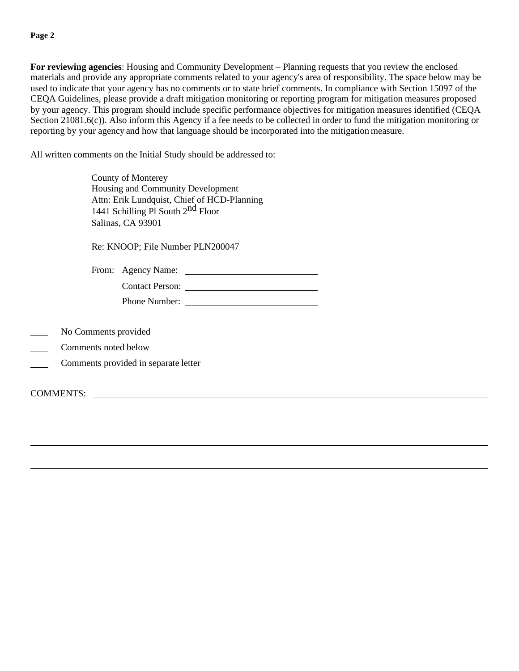#### **Page 2**

**For reviewing agencies**: Housing and Community Development – Planning requests that you review the enclosed materials and provide any appropriate comments related to your agency's area of responsibility. The space below may be used to indicate that your agency has no comments or to state brief comments. In compliance with Section 15097 of the CEQA Guidelines, please provide a draft mitigation monitoring or reporting program for mitigation measures proposed by your agency. This program should include specific performance objectives for mitigation measures identified (CEQA Section 21081.6(c)). Also inform this Agency if a fee needs to be collected in order to fund the mitigation monitoring or reporting by your agency and how that language should be incorporated into the mitigation measure.

All written comments on the Initial Study should be addressed to:

County of Monterey Housing and Community Development Attn: Erik Lundquist, Chief of HCD-Planning 1441 Schilling Pl South 2<sup>nd</sup> Floor Salinas, CA 93901

Re: KNOOP; File Number PLN200047

From: Agency Name:

| <b>Contact Person:</b> |  |
|------------------------|--|
| Phone Number:          |  |

- No Comments provided
- Comments noted below
- Comments provided in separate letter

COMMENTS: